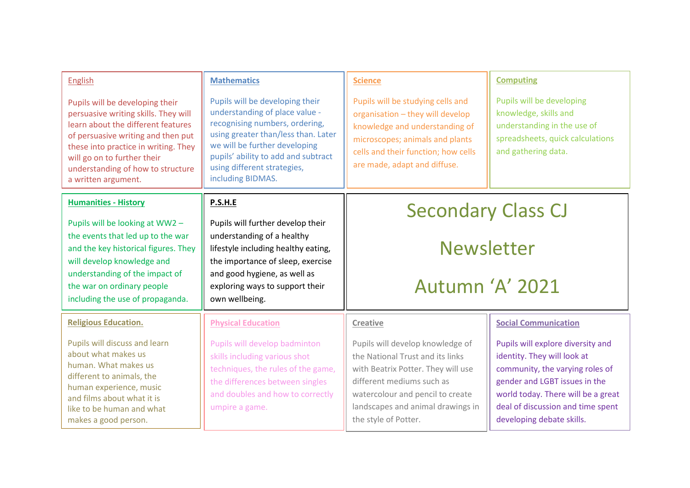| <b>English</b>                                                                                                                                                                                                                                                                         | <b>Mathematics</b>                                                                                                                                                                                                                                                     | <b>Science</b>                                                                                                                                                                                                                           | <b>Computing</b>                                                                                                                                                                                                                             |
|----------------------------------------------------------------------------------------------------------------------------------------------------------------------------------------------------------------------------------------------------------------------------------------|------------------------------------------------------------------------------------------------------------------------------------------------------------------------------------------------------------------------------------------------------------------------|------------------------------------------------------------------------------------------------------------------------------------------------------------------------------------------------------------------------------------------|----------------------------------------------------------------------------------------------------------------------------------------------------------------------------------------------------------------------------------------------|
| Pupils will be developing their<br>persuasive writing skills. They will<br>learn about the different features<br>of persuasive writing and then put<br>these into practice in writing. They<br>will go on to further their<br>understanding of how to structure<br>a written argument. | Pupils will be developing their<br>understanding of place value -<br>recognising numbers, ordering,<br>using greater than/less than. Later<br>we will be further developing<br>pupils' ability to add and subtract<br>using different strategies,<br>including BIDMAS. | Pupils will be studying cells and<br>organisation - they will develop<br>knowledge and understanding of<br>microscopes; animals and plants<br>cells and their function; how cells<br>are made, adapt and diffuse.                        | Pupils will be developing<br>knowledge, skills and<br>understanding in the use of<br>spreadsheets, quick calculations<br>and gathering data.                                                                                                 |
| <b>Humanities - History</b>                                                                                                                                                                                                                                                            | P.S.H.E                                                                                                                                                                                                                                                                | <b>Secondary Class CJ</b><br><b>Newsletter</b><br>Autumn 'A' 2021                                                                                                                                                                        |                                                                                                                                                                                                                                              |
| Pupils will be looking at WW2 -<br>the events that led up to the war<br>and the key historical figures. They<br>will develop knowledge and<br>understanding of the impact of<br>the war on ordinary people<br>including the use of propaganda.                                         | Pupils will further develop their<br>understanding of a healthy<br>lifestyle including healthy eating,<br>the importance of sleep, exercise<br>and good hygiene, as well as<br>exploring ways to support their<br>own wellbeing.                                       |                                                                                                                                                                                                                                          |                                                                                                                                                                                                                                              |
| <b>Religious Education.</b>                                                                                                                                                                                                                                                            | <b>Physical Education</b>                                                                                                                                                                                                                                              | Creative                                                                                                                                                                                                                                 | <b>Social Communication</b>                                                                                                                                                                                                                  |
| Pupils will discuss and learn<br>about what makes us<br>human. What makes us<br>different to animals, the<br>human experience, music<br>and films about what it is<br>like to be human and what<br>makes a good person.                                                                | Pupils will develop badminton<br>skills including various shot<br>techniques, the rules of the game,<br>the differences between singles<br>and doubles and how to correctly<br>umpire a game.                                                                          | Pupils will develop knowledge of<br>the National Trust and its links<br>with Beatrix Potter. They will use<br>different mediums such as<br>watercolour and pencil to create<br>landscapes and animal drawings in<br>the style of Potter. | Pupils will explore diversity and<br>identity. They will look at<br>community, the varying roles of<br>gender and LGBT issues in the<br>world today. There will be a great<br>deal of discussion and time spent<br>developing debate skills. |